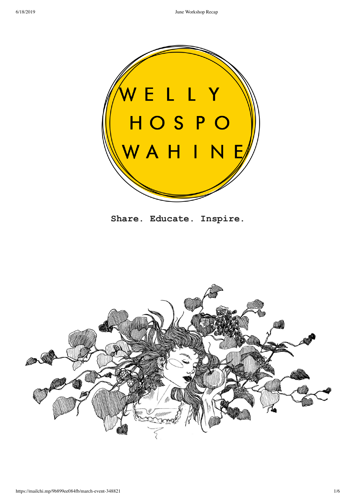

**Share. Educate. Inspire.**

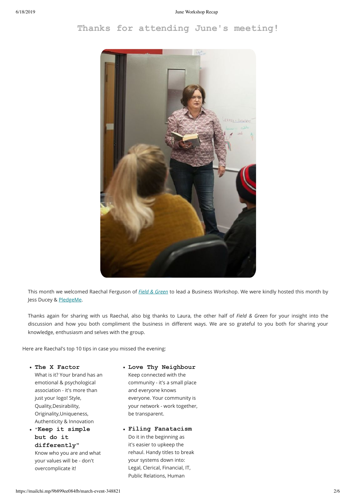# **Thanks for attending June's meeting!**



This month we welcomed Raechal Ferguson of *Field & Green* to lead a Business Workshop. We were kindly hosted this month by Jess Ducey & PledgeMe.

Thanks again for sharing with us Raechal, also big thanks to Laura, the other half of *Field & Green* for your insight into the discussion and how you both compliment the business in different ways. We are so grateful to you both for sharing your knowledge, enthusiasm and selves with the group.

Here are Raechal's top 10 tips in case you missed the evening:

**The X Factor** What is it? Your brand has an emotional & psychological association - it's more than just your logo! Style, Quality,Desirability, Originality,Uniqueness, Authenticity & Innovation

**"Keep it simple but do it differently"** Know who you are and what your values will be - don't overcomplicate it!

# **Love Thy Neighbour** Keep connected with the community - it's a small place and everyone knows everyone. Your community is your network - work together, be transparent.

**Filing Fanatacism** Do it in the beginning as it's easier to upkeep the rehaul. Handy titles to break your systems down into: Legal, Clerical, Financial, IT, Public Relations, Human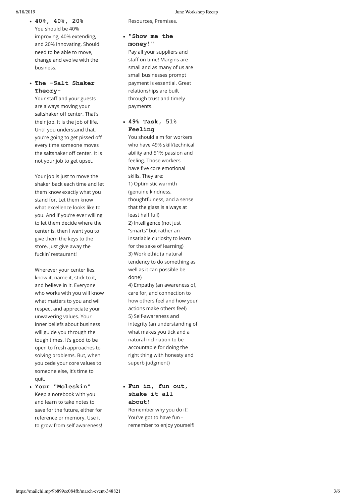**40%, 40%, 20%** You should be 40% improving, 40% extending, and 20% innovating. Should need to be able to move, change and evolve with the business.

## **The Salt Shaker Theory-**

Your staff and your guests are always moving your saltshaker off center. That's their job. It is the job of life. Until you understand that, you're going to get pissed o every time someone moves the saltshaker off center. It is not your job to get upset.

Your job is just to move the shaker back each time and let them know exactly what you stand for. Let them know what excellence looks like to you. And if you're ever willing to let them decide where the center is, then I want you to give them the keys to the store. Just give away the fuckin' restaurant!

Wherever your center lies, know it, name it, stick to it, and believe in it. Everyone who works with you will know what matters to you and will respect and appreciate your unwavering values. Your inner beliefs about business will guide you through the tough times. It's good to be open to fresh approaches to solving problems. But, when you cede your core values to someone else, it's time to quit.

**Your "Moleskin"** Keep a notebook with you and learn to take notes to save for the future, either for reference or memory. Use it to grow from self awareness!

### 6/18/2019 June Workshop Recap

Resources, Premises.

## **"Show me the money!"**

Pay all your suppliers and staff on time! Margins are small and as many of us are small businesses prompt payment is essential. Great relationships are built through trust and timely payments.

## **49% Task, 51% Feeling**

You should aim for workers who have 49% skill/technical ability and 51% passion and feeling. Those workers have five core emotional skills. They are: 1) Optimistic warmth (genuine kindness, thoughtfulness, and a sense that the glass is always at least half full) 2) Intelligence (not just "smarts" but rather an insatiable curiosity to learn for the sake of learning) 3) Work ethic (a natural tendency to do something as well as it can possible be done) 4) Empathy (an awareness of, care for, and connection to how others feel and how your actions make others feel) 5) Self-awareness and integrity (an understanding of what makes you tick and a natural inclination to be accountable for doing the right thing with honesty and superb judgment)

# **Fun in, fun out, shake it all about!**

Remember why you do it! You've got to have fun remember to enjoy yourself!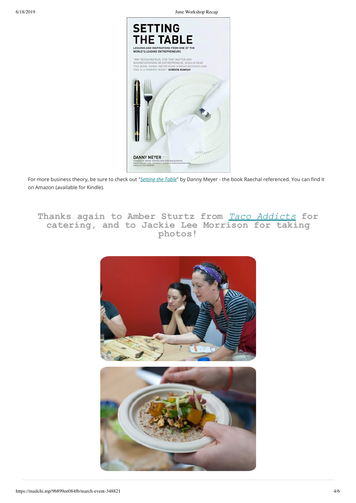6/18/2019 June Workshop Recap



For more business theory, be sure to check out "*Setting the Table*" by Danny Meyer - the book Raechal referenced. You can find it on Amazon (available for Kindle).

**Thanks again to Amber Sturtz from** *Taco Addicts* **for catering, and to Jackie Lee Morrison for taking photos!**

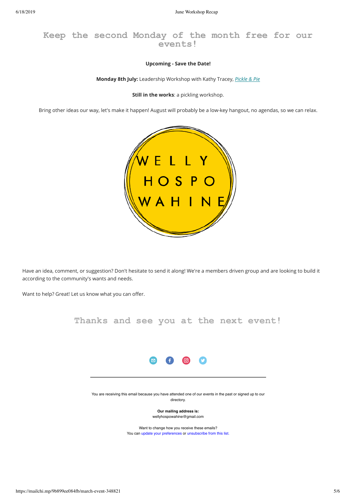**Keep the second Monday of the month free for our events!**

## **Upcoming - Save the Date!**

**Monday 8th July:** Leadership Workshop with Kathy Tracey, *Pickle & Pie*

**Still in the works**: a pickling workshop.

Bring other ideas our way, let's make it happen! August will probably be a low-key hangout, no agendas, so we can relax.



Have an idea, comment, or suggestion? Don't hesitate to send it along! We're a members driven group and are looking to build it according to the community's wants and needs.

Want to help? Great! Let us know what you can offer.